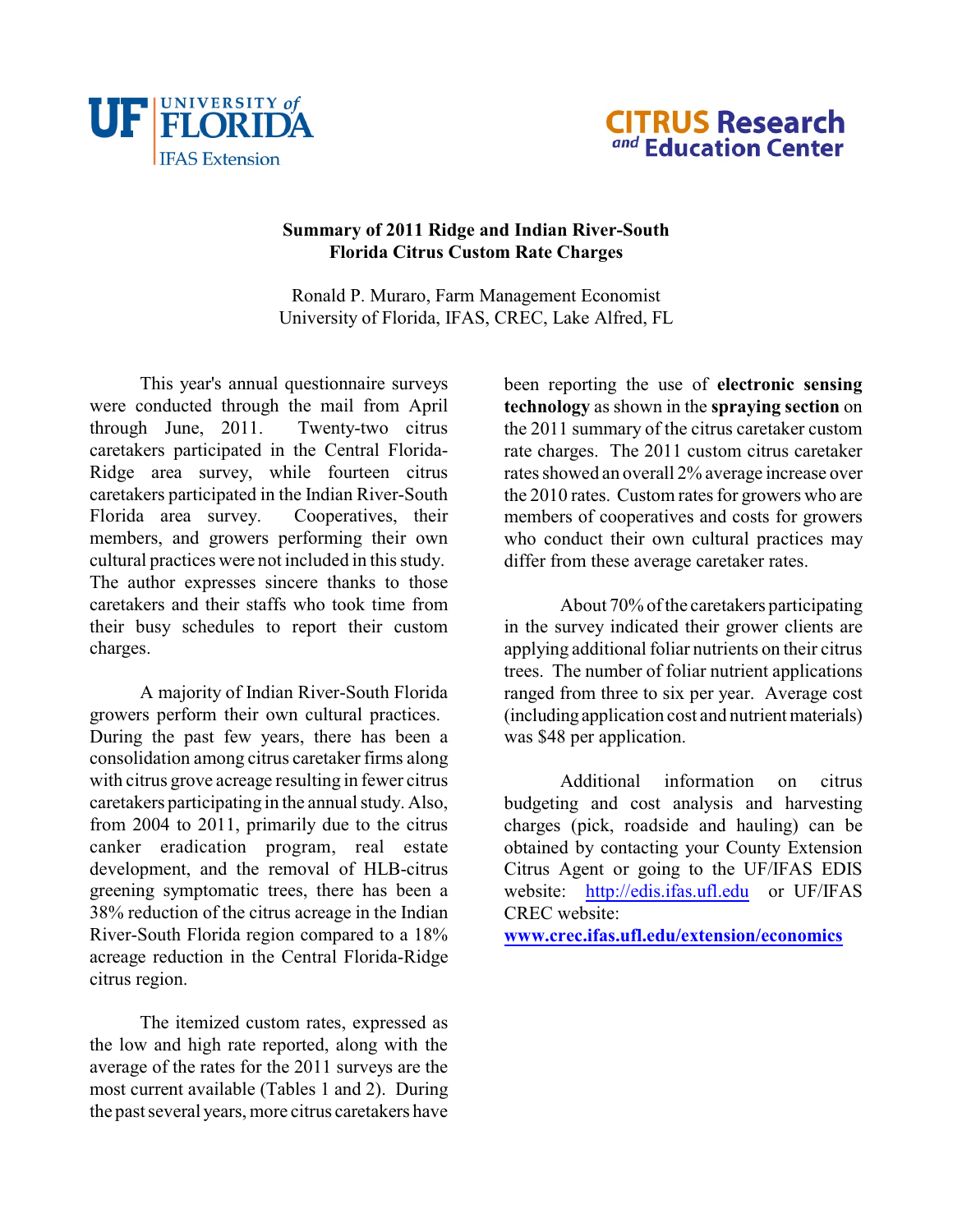



## **Summary of 2011 Ridge and Indian River-South Florida Citrus Custom Rate Charges**

Ronald P. Muraro, Farm Management Economist University of Florida, IFAS, CREC, Lake Alfred, FL

This year's annual questionnaire surveys were conducted through the mail from April through June, 2011. Twenty-two citrus caretakers participated in the Central Florida-Ridge area survey, while fourteen citrus caretakers participated in the Indian River-South Florida area survey. Cooperatives, their members, and growers performing their own cultural practices were not included in this study. The author expresses sincere thanks to those caretakers and their staffs who took time from their busy schedules to report their custom charges.

A majority of Indian River-South Florida growers perform their own cultural practices. During the past few years, there has been a consolidation among citrus caretaker firms along with citrus grove acreage resulting in fewer citrus caretakers participating in the annual study. Also, from 2004 to 2011, primarily due to the citrus canker eradication program, real estate development, and the removal of HLB-citrus greening symptomatic trees, there has been a 38% reduction of the citrus acreage in the Indian River-South Florida region compared to a 18% acreage reduction in the Central Florida-Ridge citrus region.

<span id="page-0-0"></span>The itemized custom rates, expressed as the low and high rate reported, along with the average of the rates for the 2011 surveys are the most current available (Tables 1 and 2). During the past several years, more citrus caretakers have

been reporting the use of **electronic sensing technology** as shown in the **spraying section** on the 2011 summary of the citrus caretaker custom rate charges. The 2011 custom citrus caretaker rates showed an overall 2% average increase over the 2010 rates. Custom rates for growers who are members of cooperatives and costs for growers who conduct their own cultural practices may differ from these average caretaker rates.

About 70% of the caretakers participating in the survey indicated their grower clients are applying additional foliar nutrients on their citrus trees. The number of foliar nutrient applications ranged from three to six per year. Average cost (including application cost and nutrient materials) was \$48 per application.

Additional information on citrus budgeting and cost analysis and harvesting charges (pick, roadside and hauling) can be obtained by contacting your County Extension Citrus Agent or going to the UF/IFAS EDIS website: [http://edis.ifas.ufl.edu](#page-0-0) or UF/IFAS CREC website:

**[www.crec.ifas.ufl.edu/extension/economics](http://www.crec.ifas.ufl.edu/extension/economics)**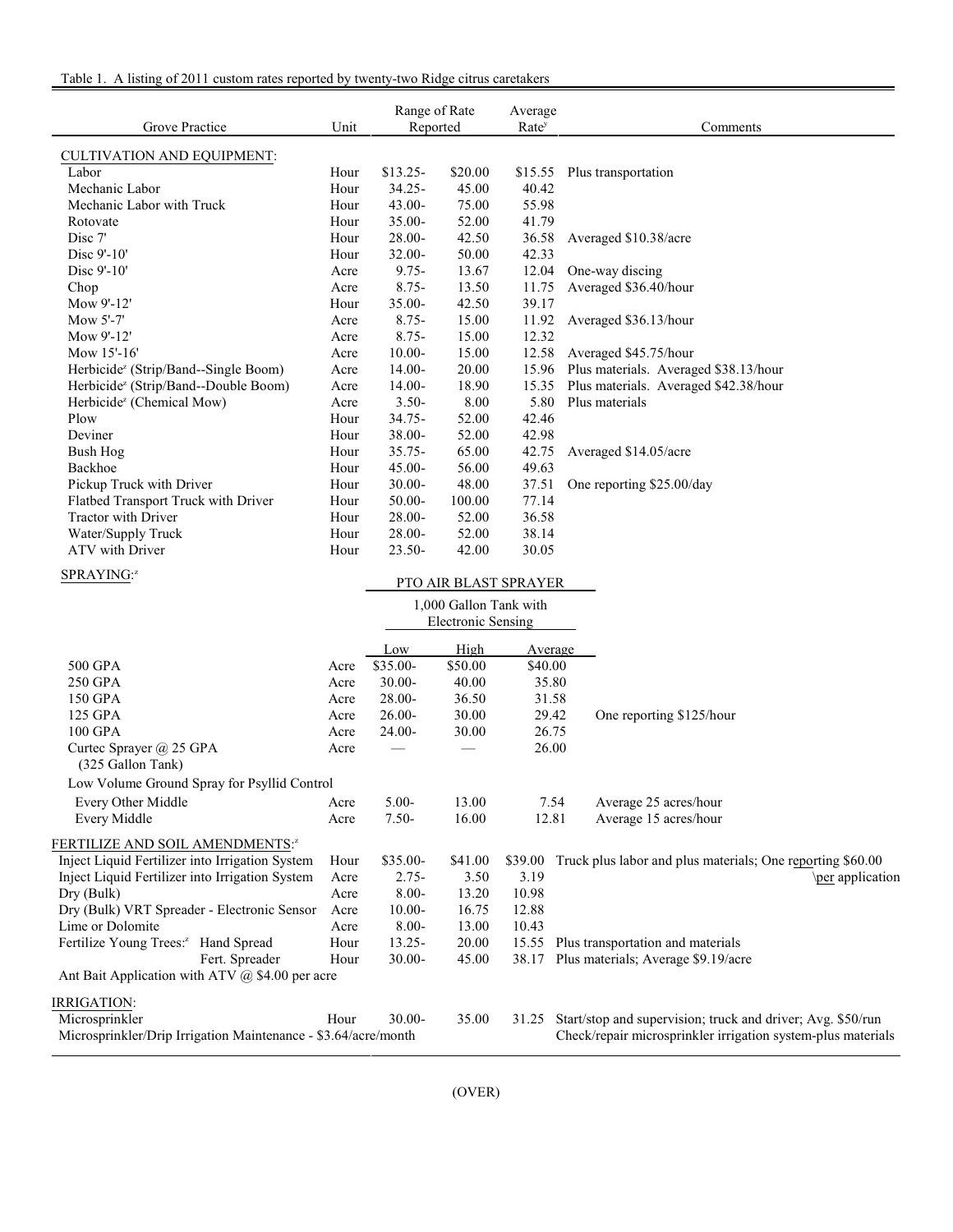| Table 1. A listing of 2011 custom rates reported by twenty-two Ridge citrus caretakers |  |  |
|----------------------------------------------------------------------------------------|--|--|
|                                                                                        |  |  |

| Grove Practice                                      | Unit | Range of Rate<br>Reported |                           | Average<br>Rate <sup>y</sup> | Comments                                                   |
|-----------------------------------------------------|------|---------------------------|---------------------------|------------------------------|------------------------------------------------------------|
|                                                     |      |                           |                           |                              |                                                            |
| <b>CULTIVATION AND EQUIPMENT:</b><br>Labor          | Hour | $$13.25-$                 | \$20.00                   |                              |                                                            |
| Mechanic Labor                                      | Hour | $34.25 -$                 | 45.00                     | 40.42                        | \$15.55 Plus transportation                                |
| Mechanic Labor with Truck                           | Hour | 43.00-                    | 75.00                     | 55.98                        |                                                            |
| Rotovate                                            | Hour | 35.00-                    | 52.00                     | 41.79                        |                                                            |
| Disc 7'                                             | Hour | 28.00-                    | 42.50                     | 36.58                        | Averaged \$10.38/acre                                      |
| Disc 9'-10'                                         | Hour | 32.00-                    | 50.00                     | 42.33                        |                                                            |
| Disc 9'-10'                                         | Acre | $9.75 -$                  | 13.67                     | 12.04                        | One-way discing                                            |
| Chop                                                | Acre | $8.75 -$                  | 13.50                     | 11.75                        | Averaged \$36.40/hour                                      |
| Mow 9'-12'                                          | Hour | 35.00-                    | 42.50                     | 39.17                        |                                                            |
| Mow 5'-7'                                           | Acre | $8.75 -$                  | 15.00                     | 11.92                        | Averaged \$36.13/hour                                      |
| Mow 9'-12'                                          | Acre | $8.75 -$                  | 15.00                     | 12.32                        |                                                            |
| Mow 15'-16'                                         | Acre | $10.00 -$                 | 15.00                     | 12.58                        | Averaged \$45.75/hour                                      |
| Herbicide <sup>z</sup> (Strip/Band--Single Boom)    | Acre | $14.00 -$                 | 20.00                     | 15.96                        | Plus materials. Averaged \$38.13/hour                      |
| Herbicide <sup>z</sup> (Strip/Band--Double Boom)    | Acre | $14.00 -$                 | 18.90                     | 15.35                        | Plus materials. Averaged \$42.38/hour                      |
| Herbicide <sup>z</sup> (Chemical Mow)               | Acre | $3.50 -$                  | 8.00                      | 5.80                         | Plus materials                                             |
| Plow                                                | Hour | 34.75-                    | 52.00                     | 42.46                        |                                                            |
| Deviner                                             | Hour | 38.00-                    | 52.00                     | 42.98                        |                                                            |
| <b>Bush Hog</b>                                     | Hour | $35.75 -$                 | 65.00                     | 42.75                        | Averaged \$14.05/acre                                      |
| Backhoe                                             | Hour | $45.00 -$                 | 56.00                     | 49.63                        |                                                            |
| Pickup Truck with Driver                            | Hour | $30.00 -$                 | 48.00                     | 37.51                        | One reporting \$25.00/day                                  |
| Flatbed Transport Truck with Driver                 | Hour | 50.00-                    | 100.00                    | 77.14                        |                                                            |
| Tractor with Driver                                 | Hour | 28.00-                    | 52.00                     | 36.58                        |                                                            |
| Water/Supply Truck                                  | Hour | 28.00-                    | 52.00                     | 38.14                        |                                                            |
| ATV with Driver                                     | Hour | 23.50-                    | 42.00                     | 30.05                        |                                                            |
| SPRAYING:2                                          |      |                           |                           |                              |                                                            |
|                                                     |      |                           |                           | PTO AIR BLAST SPRAYER        |                                                            |
|                                                     |      |                           | 1,000 Gallon Tank with    |                              |                                                            |
|                                                     |      |                           | <b>Electronic Sensing</b> |                              |                                                            |
|                                                     |      | Low                       | High                      | Average                      |                                                            |
| 500 GPA                                             | Acre | \$35.00-                  | \$50.00                   | \$40.00                      |                                                            |
| 250 GPA                                             | Acre | 30.00-                    | 40.00                     | 35.80                        |                                                            |
| 150 GPA                                             | Acre | 28.00-                    | 36.50                     | 31.58                        |                                                            |
| 125 GPA                                             | Acre | $26.00 -$                 | 30.00                     | 29.42                        | One reporting \$125/hour                                   |
| 100 GPA                                             | Acre | 24.00-                    | 30.00                     | 26.75                        |                                                            |
| Curtec Sprayer @ 25 GPA<br>(325 Gallon Tank)        | Acre |                           |                           | 26.00                        |                                                            |
| Low Volume Ground Spray for Psyllid Control         |      |                           |                           |                              |                                                            |
| Every Other Middle                                  | Acre | 5.00-                     | 13.00                     | 7.54                         | Average 25 acres/hour                                      |
| Every Middle                                        | Acre | $7.50 -$                  | 16.00                     | 12.81                        | Average 15 acres/hour                                      |
| FERTILIZE AND SOIL AMENDMENTS:2                     |      |                           |                           |                              |                                                            |
| Inject Liquid Fertilizer into Irrigation System     | Hour | \$35.00-                  | \$41.00                   | \$39.00                      | Truck plus labor and plus materials; One reporting \$60.00 |
| Inject Liquid Fertilizer into Irrigation System     | Acre | $2.75 -$                  | 3.50                      | 3.19                         | \per application                                           |
| Dry (Bulk)                                          | Acre | $8.00 -$                  | 13.20                     | 10.98                        |                                                            |
| Dry (Bulk) VRT Spreader - Electronic Sensor         | Acre | $10.00 -$                 | 16.75                     | 12.88                        |                                                            |
| Lime or Dolomite                                    | Acre | $8.00 -$                  | 13.00                     | 10.43                        |                                                            |
| Fertilize Young Trees: <sup>2</sup> Hand Spread     | Hour | $13.25 -$                 | 20.00                     | 15.55                        | Plus transportation and materials                          |
| Fert. Spreader                                      | Hour | 30.00-                    | 45.00                     | 38.17                        | Plus materials; Average \$9.19/acre                        |
| Ant Bait Application with ATV $(a)$ \$4.00 per acre |      |                           |                           |                              |                                                            |

IRRIGATION:<br>Microsprinkler Microsprinkler Hour 30.00- 35.00 31.25 Start/stop and supervision; truck and driver; Avg. \$50/run

Microsprinkler/Drip Irrigation Maintenance - \$3.64/acre/month Check/repair microsprinkler irrigation system-plus materials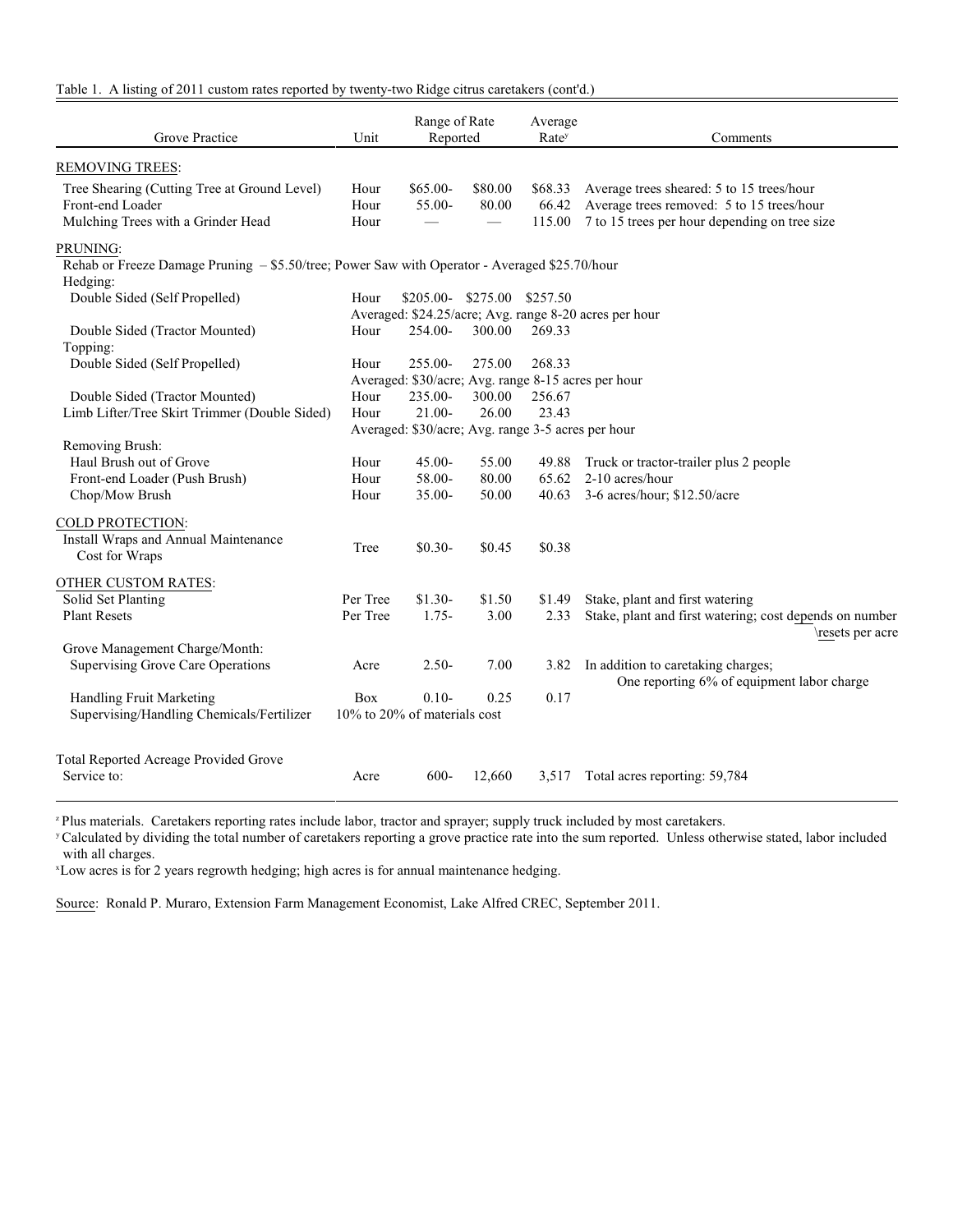Table 1. A listing of 2011 custom rates reported by twenty-two Ridge citrus caretakers (cont'd.)

| Grove Practice                                                                                         | Unit                 | Range of Rate<br>Reported                                      |                   | Average<br>Rate <sup>y</sup> | Comments                                                                                                                                |
|--------------------------------------------------------------------------------------------------------|----------------------|----------------------------------------------------------------|-------------------|------------------------------|-----------------------------------------------------------------------------------------------------------------------------------------|
| <b>REMOVING TREES:</b>                                                                                 |                      |                                                                |                   |                              |                                                                                                                                         |
| Tree Shearing (Cutting Tree at Ground Level)<br>Front-end Loader<br>Mulching Trees with a Grinder Head | Hour<br>Hour<br>Hour | $$65.00-$<br>55.00-                                            | \$80.00<br>80.00  | \$68.33<br>66.42<br>115.00   | Average trees sheared: 5 to 15 trees/hour<br>Average trees removed: 5 to 15 trees/hour<br>7 to 15 trees per hour depending on tree size |
| PRUNING:                                                                                               |                      |                                                                |                   |                              |                                                                                                                                         |
| Rehab or Freeze Damage Pruning - \$5.50/tree; Power Saw with Operator - Averaged \$25.70/hour          |                      |                                                                |                   |                              |                                                                                                                                         |
| Hedging:<br>Double Sided (Self Propelled)                                                              | Hour                 | $$205.00-$                                                     | \$275.00 \$257.50 |                              |                                                                                                                                         |
| Double Sided (Tractor Mounted)                                                                         | Hour                 | 254.00-                                                        | 300.00            | 269.33                       | Averaged: \$24.25/acre; Avg. range 8-20 acres per hour                                                                                  |
| Topping:                                                                                               |                      |                                                                |                   |                              |                                                                                                                                         |
| Double Sided (Self Propelled)                                                                          | Hour                 | 255.00-                                                        | 275.00            | 268.33                       |                                                                                                                                         |
| Double Sided (Tractor Mounted)                                                                         | Hour                 | Averaged: \$30/acre; Avg. range 8-15 acres per hour<br>235.00- | 300.00            | 256.67                       |                                                                                                                                         |
| Limb Lifter/Tree Skirt Trimmer (Double Sided)                                                          | Hour                 | $21.00 -$                                                      | 26.00             | 23.43                        |                                                                                                                                         |
|                                                                                                        |                      | Averaged: \$30/acre; Avg. range 3-5 acres per hour             |                   |                              |                                                                                                                                         |
| Removing Brush:                                                                                        |                      |                                                                |                   |                              |                                                                                                                                         |
| Haul Brush out of Grove                                                                                | Hour                 | $45.00 -$                                                      | 55.00             | 49.88                        | Truck or tractor-trailer plus 2 people                                                                                                  |
| Front-end Loader (Push Brush)                                                                          | Hour                 | 58.00-                                                         | 80.00             | 65.62                        | 2-10 acres/hour                                                                                                                         |
| Chop/Mow Brush                                                                                         | Hour                 | $35.00 -$                                                      | 50.00             | 40.63                        | 3-6 acres/hour; \$12.50/acre                                                                                                            |
| COLD PROTECTION:                                                                                       |                      |                                                                |                   |                              |                                                                                                                                         |
| Install Wraps and Annual Maintenance<br>Cost for Wraps                                                 | Tree                 | $$0.30-$                                                       | \$0.45            | \$0.38                       |                                                                                                                                         |
| OTHER CUSTOM RATES:                                                                                    |                      |                                                                |                   |                              |                                                                                                                                         |
| Solid Set Planting                                                                                     | Per Tree             | $$1.30-$                                                       | \$1.50            | \$1.49                       | Stake, plant and first watering                                                                                                         |
| <b>Plant Resets</b>                                                                                    | Per Tree             | $1.75-$                                                        | 3.00              | 2.33                         | Stake, plant and first watering; cost depends on number<br>\resets per acre                                                             |
| Grove Management Charge/Month:                                                                         |                      |                                                                |                   |                              |                                                                                                                                         |
| <b>Supervising Grove Care Operations</b>                                                               | Acre                 | $2.50 -$                                                       | 7.00              | 3.82                         | In addition to caretaking charges;<br>One reporting 6% of equipment labor charge                                                        |
| Handling Fruit Marketing                                                                               | <b>Box</b>           | $0.10-$                                                        | 0.25              | 0.17                         |                                                                                                                                         |
| Supervising/Handling Chemicals/Fertilizer                                                              |                      | 10% to 20% of materials cost                                   |                   |                              |                                                                                                                                         |
|                                                                                                        |                      |                                                                |                   |                              |                                                                                                                                         |
| Total Reported Acreage Provided Grove<br>Service to:                                                   | Acre                 | $600 -$                                                        | 12,660            | 3,517                        | Total acres reporting: 59,784                                                                                                           |

<sup>z</sup> Plus materials. Caretakers reporting rates include labor, tractor and sprayer; supply truck included by most caretakers.

<sup>y</sup> Calculated by dividing the total number of caretakers reporting a grove practice rate into the sum reported. Unless otherwise stated, labor included with all charges.

<sup>x</sup>Low acres is for 2 years regrowth hedging; high acres is for annual maintenance hedging.

Source: Ronald P. Muraro, Extension Farm Management Economist, Lake Alfred CREC, September 2011.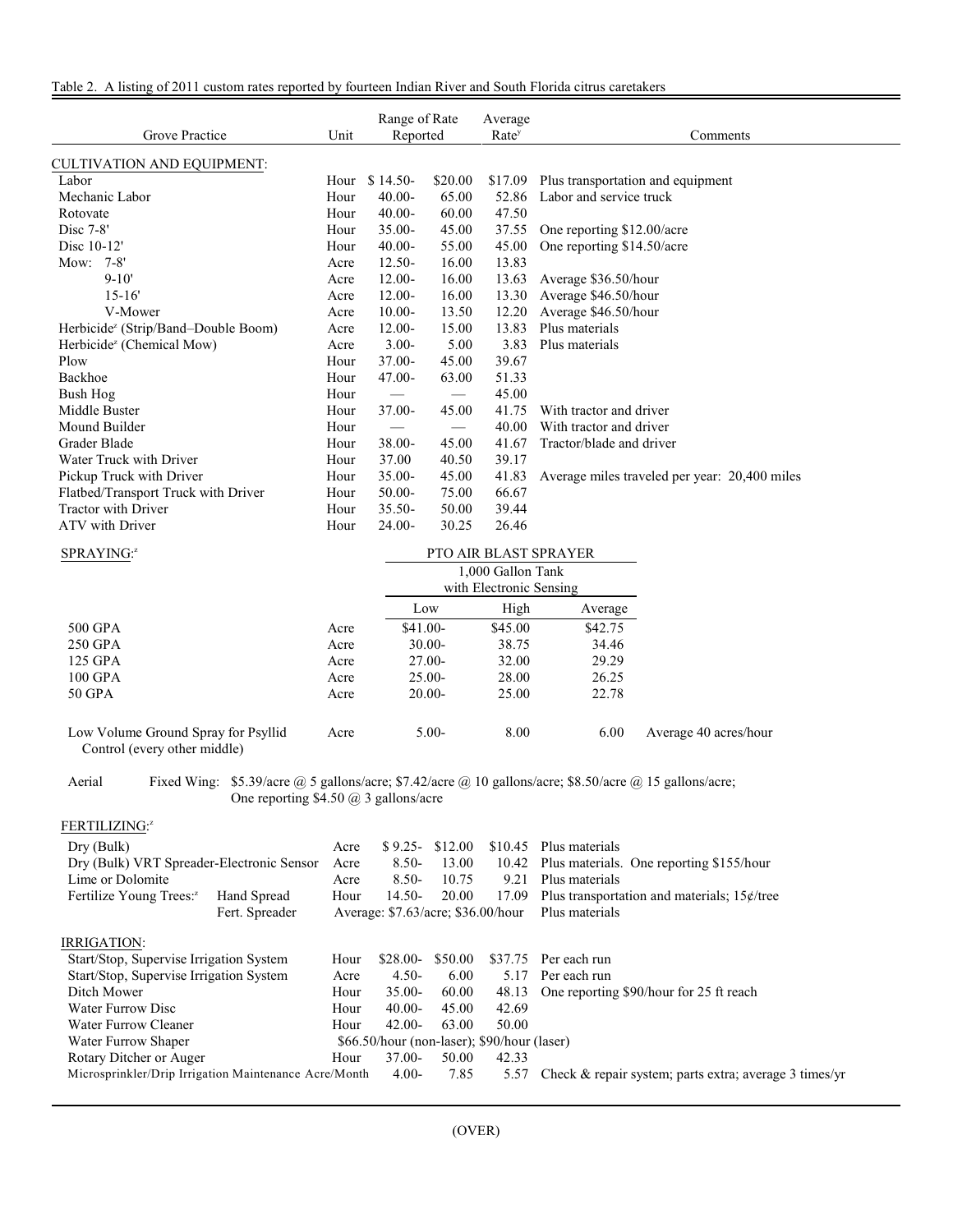| Grove Practice                                  | Unit | Range of Rate<br>Reported    |                          | Average<br>Rate <sup>y</sup> | Comments                                      |
|-------------------------------------------------|------|------------------------------|--------------------------|------------------------------|-----------------------------------------------|
| <b>CULTIVATION AND EQUIPMENT:</b>               |      |                              |                          |                              |                                               |
| Labor                                           | Hour | $$14.50-$                    | \$20.00                  | \$17.09                      | Plus transportation and equipment             |
| Mechanic Labor                                  | Hour | $40.00 -$                    | 65.00                    | 52.86                        | Labor and service truck                       |
| Rotovate                                        | Hour | $40.00 -$                    | 60.00                    | 47.50                        |                                               |
| Disc $7-8$ '                                    | Hour | $35.00 -$                    | 45.00                    | 37.55                        | One reporting \$12.00/acre                    |
| Disc 10-12'                                     | Hour | $40.00 -$                    | 55.00                    | 45.00                        | One reporting \$14.50/acre                    |
| Mow: 7-8'                                       | Acre | $12.50 -$                    | 16.00                    | 13.83                        |                                               |
| $9 - 10'$                                       | Acre | $12.00 -$                    | 16.00                    | 13.63                        | Average \$36.50/hour                          |
| $15 - 16'$                                      | Acre | $12.00 -$                    | 16.00                    | 13.30                        | Average \$46.50/hour                          |
| V-Mower                                         | Acre | $10.00 -$                    | 13.50                    | 12.20                        | Average \$46.50/hour                          |
| Herbicide <sup>z</sup> (Strip/Band-Double Boom) | Acre | $12.00 -$                    | 15.00                    | 13.83                        | Plus materials                                |
| Herbicide <sup>z</sup> (Chemical Mow)           | Acre | $3.00 -$                     | 5.00                     | 3.83                         | Plus materials                                |
| Plow                                            | Hour | $37.00 -$                    | 45.00                    | 39.67                        |                                               |
| Backhoe                                         | Hour | $47.00 -$                    | 63.00                    | 51.33                        |                                               |
| Bush Hog                                        | Hour |                              | $\overline{\phantom{0}}$ | 45.00                        |                                               |
| Middle Buster                                   | Hour | $37.00 -$                    | 45.00                    | 41.75                        | With tractor and driver                       |
| Mound Builder                                   | Hour | $\overbrace{\qquad \qquad }$ |                          | 40.00                        | With tractor and driver                       |
| Grader Blade                                    | Hour | $38.00 -$                    | 45.00                    | 41.67                        | Tractor/blade and driver                      |
| Water Truck with Driver                         | Hour | 37.00                        | 40.50                    | 39.17                        |                                               |
| Pickup Truck with Driver                        | Hour | $35.00 -$                    | 45.00                    | 41.83                        | Average miles traveled per year: 20,400 miles |
| Flatbed/Transport Truck with Driver             | Hour | $50.00 -$                    | 75.00                    | 66.67                        |                                               |
| <b>Tractor with Driver</b>                      | Hour | $35.50 -$                    | 50.00                    | 39.44                        |                                               |
| ATV with Driver                                 | Hour | $24.00 -$                    | 30.25                    | 26.46                        |                                               |

| SPRAYING: <sup>z</sup>              |      | <b>PTO AIR BLAST SPRAYER</b> |                         |         |                       |
|-------------------------------------|------|------------------------------|-------------------------|---------|-----------------------|
|                                     |      |                              | 1,000 Gallon Tank       |         |                       |
|                                     |      |                              | with Electronic Sensing |         |                       |
|                                     |      | Low                          | High                    | Average |                       |
| 500 GPA                             | Acre | $$41.00-$                    | \$45.00                 | \$42.75 |                       |
| 250 GPA                             | Acre | $30.00 -$                    | 38.75                   | 34.46   |                       |
| 125 GPA                             | Acre | $27.00-$                     | 32.00                   | 29.29   |                       |
| 100 GPA                             | Acre | $25.00 -$                    | 28.00                   | 26.25   |                       |
| 50 GPA                              | Acre | $20.00-$                     | 25.00                   | 22.78   |                       |
| Low Volume Ground Spray for Psyllid | Acre | $5.00-$                      | 8.00                    | 6.00    | Average 40 acres/hour |

Control (every other middle)

Aerial Fixed Wing: \$5.39/acre @ 5 gallons/acre; \$7.42/acre @ 10 gallons/acre; \$8.50/acre @ 15 gallons/acre; One reporting \$4.50 @ 3 gallons/acre

## FERTILIZING: z

| Dry (Bulk)                                            |                | Acre | $$9.25-$                                        | \$12.00 | \$10.45 | Plus materials                                            |
|-------------------------------------------------------|----------------|------|-------------------------------------------------|---------|---------|-----------------------------------------------------------|
| Dry (Bulk) VRT Spreader-Electronic Sensor             |                | Acre | $8.50 -$                                        | 13.00   |         | 10.42 Plus materials. One reporting \$155/hour            |
| Lime or Dolomite                                      |                | Acre | $8.50-$                                         | 10.75   | 9.21    | Plus materials                                            |
| Fertilize Young Trees: <sup>2</sup>                   | Hand Spread    | Hour | 14.50-                                          | 20.00   | 17.09   | Plus transportation and materials; $15¢$ /tree            |
|                                                       | Fert. Spreader |      | Average: $$7.63/acre$ ; $$36.00/hour$           |         |         | Plus materials                                            |
| IRRIGATION:                                           |                |      |                                                 |         |         |                                                           |
| Start/Stop, Supervise Irrigation System               |                | Hour | $$28.00-$                                       | \$50.00 | \$37.75 | Per each run                                              |
| Start/Stop, Supervise Irrigation System               |                | Acre | $4.50-$                                         | 6.00    | 5.17    | Per each run                                              |
| Ditch Mower                                           |                | Hour | $35.00 -$                                       | 60.00   | 48.13   | One reporting \$90/hour for 25 ft reach                   |
| Water Furrow Disc                                     |                | Hour | $40.00-$                                        | 45.00   | 42.69   |                                                           |
| Water Furrow Cleaner                                  |                | Hour | $42.00-$                                        | 63.00   | 50.00   |                                                           |
| Water Furrow Shaper                                   |                |      | $$66.50/h$ our (non-laser); $$90/h$ our (laser) |         |         |                                                           |
| Rotary Ditcher or Auger                               |                | Hour | $37.00 -$                                       | 50.00   | 42.33   |                                                           |
| Microsprinkler/Drip Irrigation Maintenance Acre/Month |                |      | $4.00-$                                         | 7.85    | 5.57    | Check $\&$ repair system; parts extra; average 3 times/yr |
|                                                       |                |      |                                                 |         |         |                                                           |